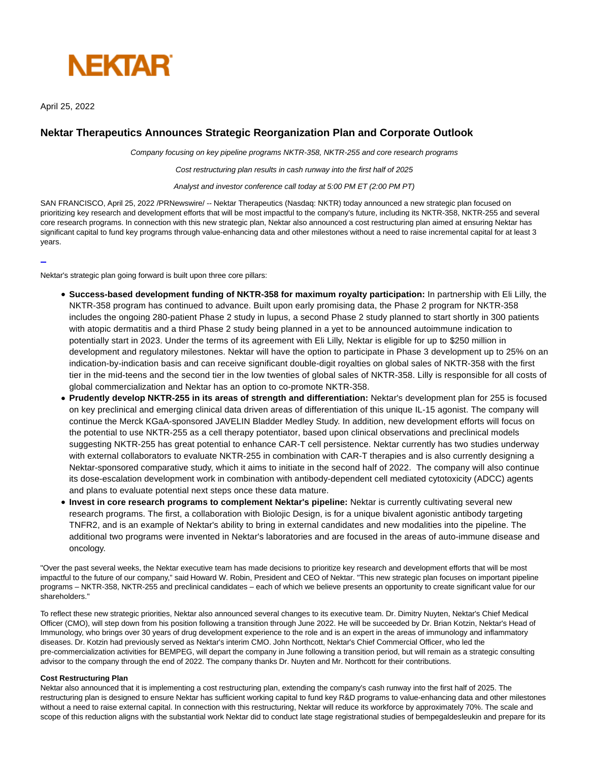

April 25, 2022

L

# **Nektar Therapeutics Announces Strategic Reorganization Plan and Corporate Outlook**

Company focusing on key pipeline programs NKTR-358, NKTR-255 and core research programs

Cost restructuring plan results in cash runway into the first half of 2025

Analyst and investor conference call today at 5:00 PM ET (2:00 PM PT)

SAN FRANCISCO, April 25, 2022 /PRNewswire/ -- Nektar Therapeutics (Nasdaq: NKTR) today announced a new strategic plan focused on prioritizing key research and development efforts that will be most impactful to the company's future, including its NKTR-358, NKTR-255 and several core research programs. In connection with this new strategic plan, Nektar also announced a cost restructuring plan aimed at ensuring Nektar has significant capital to fund key programs through value-enhancing data and other milestones without a need to raise incremental capital for at least 3 years.

Nektar's strategic plan going forward is built upon three core pillars:

- **Success-based development funding of NKTR-358 for maximum royalty participation:** In partnership with Eli Lilly, the NKTR-358 program has continued to advance. Built upon early promising data, the Phase 2 program for NKTR-358 includes the ongoing 280-patient Phase 2 study in lupus, a second Phase 2 study planned to start shortly in 300 patients with atopic dermatitis and a third Phase 2 study being planned in a yet to be announced autoimmune indication to potentially start in 2023. Under the terms of its agreement with Eli Lilly, Nektar is eligible for up to \$250 million in development and regulatory milestones. Nektar will have the option to participate in Phase 3 development up to 25% on an indication-by-indication basis and can receive significant double-digit royalties on global sales of NKTR-358 with the first tier in the mid-teens and the second tier in the low twenties of global sales of NKTR-358. Lilly is responsible for all costs of global commercialization and Nektar has an option to co-promote NKTR-358.
- **Prudently develop NKTR-255 in its areas of strength and differentiation:** Nektar's development plan for 255 is focused on key preclinical and emerging clinical data driven areas of differentiation of this unique IL-15 agonist. The company will continue the Merck KGaA-sponsored JAVELIN Bladder Medley Study. In addition, new development efforts will focus on the potential to use NKTR-255 as a cell therapy potentiator, based upon clinical observations and preclinical models suggesting NKTR-255 has great potential to enhance CAR-T cell persistence. Nektar currently has two studies underway with external collaborators to evaluate NKTR-255 in combination with CAR-T therapies and is also currently designing a Nektar-sponsored comparative study, which it aims to initiate in the second half of 2022. The company will also continue its dose-escalation development work in combination with antibody-dependent cell mediated cytotoxicity (ADCC) agents and plans to evaluate potential next steps once these data mature.
- **Invest in core research programs to complement Nektar's pipeline:** Nektar is currently cultivating several new research programs. The first, a collaboration with Biolojic Design, is for a unique bivalent agonistic antibody targeting TNFR2, and is an example of Nektar's ability to bring in external candidates and new modalities into the pipeline. The additional two programs were invented in Nektar's laboratories and are focused in the areas of auto-immune disease and oncology.

"Over the past several weeks, the Nektar executive team has made decisions to prioritize key research and development efforts that will be most impactful to the future of our company," said Howard W. Robin, President and CEO of Nektar. "This new strategic plan focuses on important pipeline programs – NKTR-358, NKTR-255 and preclinical candidates – each of which we believe presents an opportunity to create significant value for our shareholders."

To reflect these new strategic priorities, Nektar also announced several changes to its executive team. Dr. Dimitry Nuyten, Nektar's Chief Medical Officer (CMO), will step down from his position following a transition through June 2022. He will be succeeded by Dr. Brian Kotzin, Nektar's Head of Immunology, who brings over 30 years of drug development experience to the role and is an expert in the areas of immunology and inflammatory diseases. Dr. Kotzin had previously served as Nektar's interim CMO. John Northcott, Nektar's Chief Commercial Officer, who led the pre-commercialization activities for BEMPEG, will depart the company in June following a transition period, but will remain as a strategic consulting advisor to the company through the end of 2022. The company thanks Dr. Nuyten and Mr. Northcott for their contributions.

### **Cost Restructuring Plan**

Nektar also announced that it is implementing a cost restructuring plan, extending the company's cash runway into the first half of 2025. The restructuring plan is designed to ensure Nektar has sufficient working capital to fund key R&D programs to value-enhancing data and other milestones without a need to raise external capital. In connection with this restructuring, Nektar will reduce its workforce by approximately 70%. The scale and scope of this reduction aligns with the substantial work Nektar did to conduct late stage registrational studies of bempegaldesleukin and prepare for its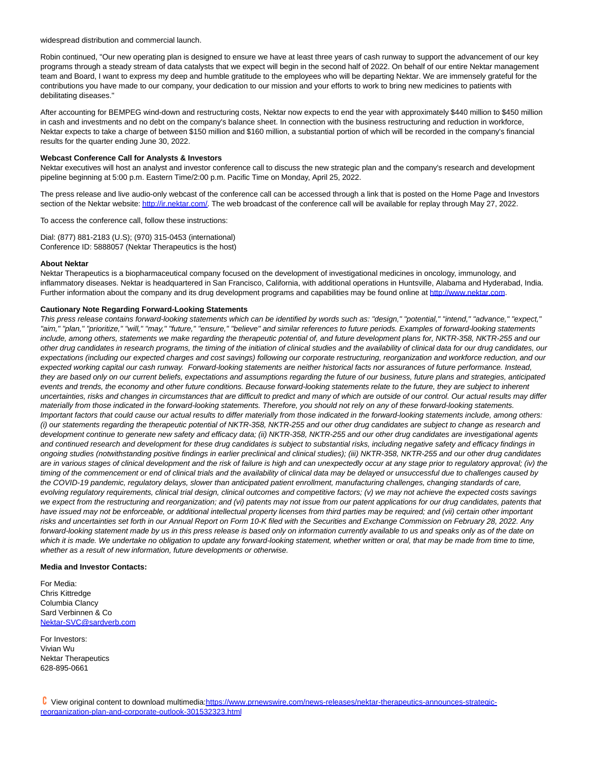widespread distribution and commercial launch.

Robin continued, "Our new operating plan is designed to ensure we have at least three years of cash runway to support the advancement of our key programs through a steady stream of data catalysts that we expect will begin in the second half of 2022. On behalf of our entire Nektar management team and Board, I want to express my deep and humble gratitude to the employees who will be departing Nektar. We are immensely grateful for the contributions you have made to our company, your dedication to our mission and your efforts to work to bring new medicines to patients with debilitating diseases."

After accounting for BEMPEG wind-down and restructuring costs, Nektar now expects to end the year with approximately \$440 million to \$450 million in cash and investments and no debt on the company's balance sheet. In connection with the business restructuring and reduction in workforce, Nektar expects to take a charge of between \$150 million and \$160 million, a substantial portion of which will be recorded in the company's financial results for the quarter ending June 30, 2022.

## **Webcast Conference Call for Analysts & Investors**

Nektar executives will host an analyst and investor conference call to discuss the new strategic plan and the company's research and development pipeline beginning at 5:00 p.m. Eastern Time/2:00 p.m. Pacific Time on Monday, April 25, 2022.

The press release and live audio-only webcast of the conference call can be accessed through a link that is posted on the Home Page and Investors section of the Nektar website[: http://ir.nektar.com/.](https://c212.net/c/link/?t=0&l=en&o=3514937-1&h=339264953&u=http%3A%2F%2Fir.nektar.com%2F&a=http%3A%2F%2Fir.nektar.com%2F) The web broadcast of the conference call will be available for replay through May 27, 2022.

To access the conference call, follow these instructions:

Dial: (877) 881-2183 (U.S); (970) 315-0453 (international) Conference ID: 5888057 (Nektar Therapeutics is the host)

#### **About Nektar**

Nektar Therapeutics is a biopharmaceutical company focused on the development of investigational medicines in oncology, immunology, and inflammatory diseases. Nektar is headquartered in San Francisco, California, with additional operations in Huntsville, Alabama and Hyderabad, India. Further information about the company and its drug development programs and capabilities may be found online at [http://www.nektar.com.](https://c212.net/c/link/?t=0&l=en&o=3514937-1&h=1521852839&u=http%3A%2F%2Fwww.nektar.com%2F&a=http%3A%2F%2Fwww.nektar.com)

#### **Cautionary Note Regarding Forward-Looking Statements**

This press release contains forward-looking statements which can be identified by words such as: "design," "potential," "intend," "advance," "expect," "aim," "plan," "prioritize," "will," "may," "future," "ensure," "believe" and similar references to future periods. Examples of forward-looking statements include, among others, statements we make regarding the therapeutic potential of, and future development plans for, NKTR-358, NKTR-255 and our other drug candidates in research programs, the timing of the initiation of clinical studies and the availability of clinical data for our drug candidates, our expectations (including our expected charges and cost savings) following our corporate restructuring, reorganization and workforce reduction, and our expected working capital our cash runway. Forward-looking statements are neither historical facts nor assurances of future performance. Instead, they are based only on our current beliefs, expectations and assumptions regarding the future of our business, future plans and strategies, anticipated events and trends, the economy and other future conditions. Because forward-looking statements relate to the future, they are subject to inherent uncertainties, risks and changes in circumstances that are difficult to predict and many of which are outside of our control. Our actual results may differ materially from those indicated in the forward-looking statements. Therefore, you should not rely on any of these forward-looking statements. Important factors that could cause our actual results to differ materially from those indicated in the forward-looking statements include, among others: (i) our statements regarding the therapeutic potential of NKTR-358, NKTR-255 and our other drug candidates are subject to change as research and development continue to generate new safety and efficacy data; (ii) NKTR-358, NKTR-255 and our other drug candidates are investigational agents and continued research and development for these drug candidates is subject to substantial risks, including negative safety and efficacy findings in ongoing studies (notwithstanding positive findings in earlier preclinical and clinical studies); (iii) NKTR-358, NKTR-255 and our other drug candidates are in various stages of clinical development and the risk of failure is high and can unexpectedly occur at any stage prior to regulatory approval; (iv) the timing of the commencement or end of clinical trials and the availability of clinical data may be delayed or unsuccessful due to challenges caused by the COVID-19 pandemic, regulatory delays, slower than anticipated patient enrollment, manufacturing challenges, changing standards of care, evolving regulatory requirements, clinical trial design, clinical outcomes and competitive factors; (v) we may not achieve the expected costs savings we expect from the restructuring and reorganization; and (vi) patents may not issue from our patent applications for our drug candidates, patents that have issued may not be enforceable, or additional intellectual property licenses from third parties may be required; and (vii) certain other important risks and uncertainties set forth in our Annual Report on Form 10-K filed with the Securities and Exchange Commission on February 28, 2022. Any forward-looking statement made by us in this press release is based only on information currently available to us and speaks only as of the date on which it is made. We undertake no obligation to update any forward-looking statement, whether written or oral, that may be made from time to time, whether as a result of new information, future developments or otherwise.

#### **Media and Investor Contacts:**

For Media: Chris Kittredge Columbia Clancy Sard Verbinnen & Co [Nektar-SVC@sardverb.com](mailto:Nektar-SVC@sardverb.com)

For Investors: Vivian Wu Nektar Therapeutics 628-895-0661